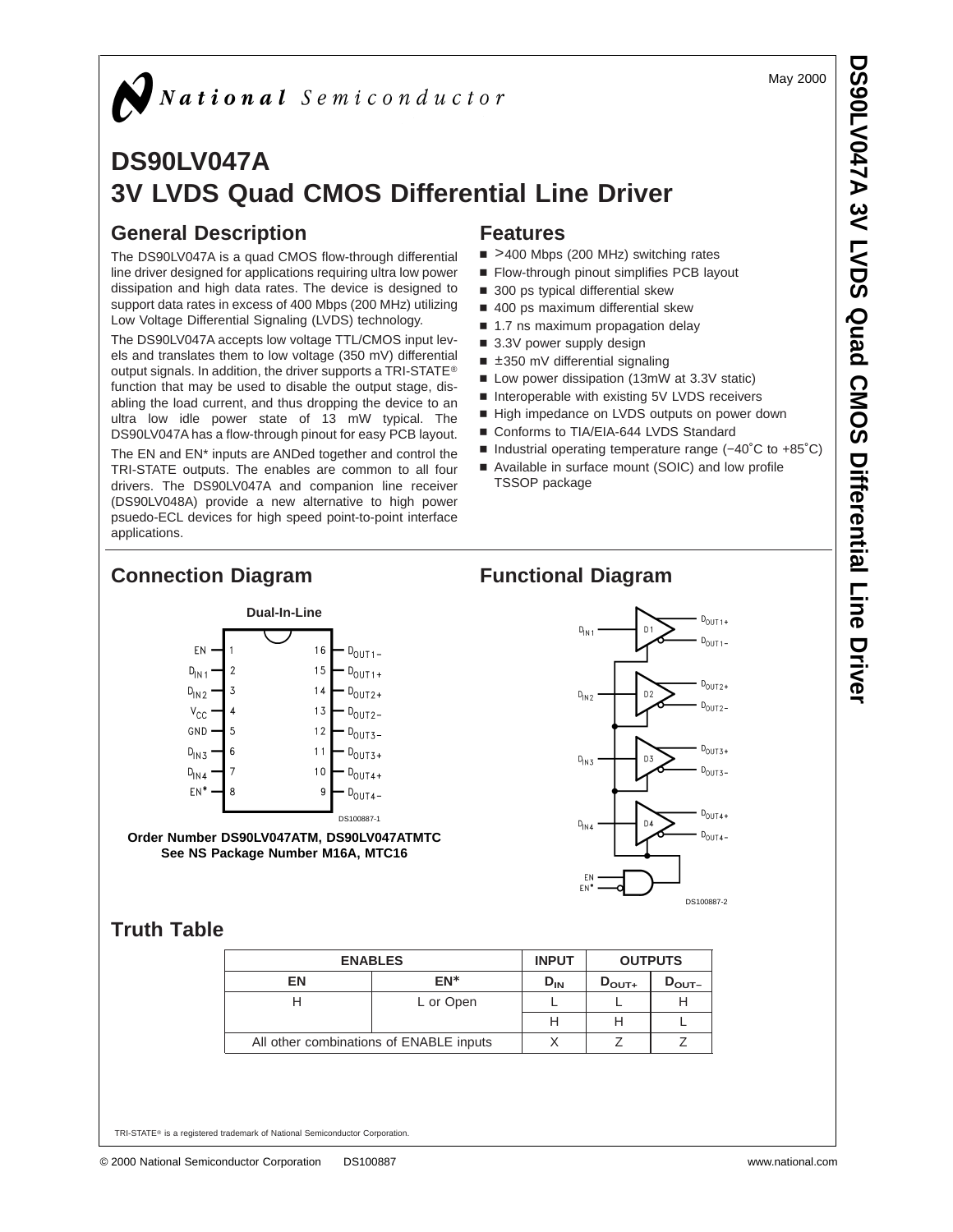May 2000

# **DS90LV047A 3V LVDS Quad CMOS Differential Line Driver**

## **General Description**

The DS90LV047A is a quad CMOS flow-through differential line driver designed for applications requiring ultra low power dissipation and high data rates. The device is designed to support data rates in excess of 400 Mbps (200 MHz) utilizing Low Voltage Differential Signaling (LVDS) technology.

The DS90LV047A accepts low voltage TTL/CMOS input levels and translates them to low voltage (350 mV) differential output signals. In addition, the driver supports a TRI-STATE® function that may be used to disable the output stage, disabling the load current, and thus dropping the device to an ultra low idle power state of 13 mW typical. The DS90LV047A has a flow-through pinout for easy PCB layout.

The EN and EN\* inputs are ANDed together and control the TRI-STATE outputs. The enables are common to all four drivers. The DS90LV047A and companion line receiver (DS90LV048A) provide a new alternative to high power psuedo-ECL devices for high speed point-to-point interface applications.

### **Features**

- >400 Mbps (200 MHz) switching rates
- Flow-through pinout simplifies PCB layout
- $\blacksquare$  300 ps typical differential skew
- 400 ps maximum differential skew
- 1.7 ns maximum propagation delay
- 3.3V power supply design
- $\equiv$  ±350 mV differential signaling
- Low power dissipation (13mW at 3.3V static)
- Interoperable with existing 5V LVDS receivers
- High impedance on LVDS outputs on power down
- Conforms to TIA/EIA-644 LVDS Standard
- Industrial operating temperature range (-40°C to +85°C)
- Available in surface mount (SOIC) and low profile TSSOP package

#### **Connection Diagram Functional Diagram Dual-In-Line** F<sub>N</sub>  $16$  $D_{\text{OUT 1}}$  $D_{\mid N\mid 1}$  $\overline{2}$  $15$  $D_{\text{OUT 1+}}$  $\overline{3}$  $14$  $D_{IN2}$  $D_{\text{OUT2+}}$  $\mathsf{v}_\mathsf{cc}$  $\overline{\mathbf{A}}$  $13$  $D_{\text{OUT2}}$ -GND 5  $12$  $D_{OUT3-}$  $D_{\mid N3}$ 6  $11$  $D_{\Omega I1T3+}$

 $D_{OUT4}$  $EN^*$ DS100887-1 **Order Number DS90LV047ATM, DS90LV047ATMTC See NS Package Number M16A, MTC16**

 $10$ 

q

 $D_{\text{OUT4+}}$ 



EN

DS100887-2

## **Truth Table**

 $D_{\mathsf{IN4}}$ 

8

| <b>ENABLES</b>                          |           | <b>INPUT</b> | <b>OUTPUTS</b>    |                   |
|-----------------------------------------|-----------|--------------|-------------------|-------------------|
| EN<br>EN*                               |           | $D_{IN}$     | $D_{\text{OUT+}}$ | $D_{\text{OUT}-}$ |
|                                         | L or Open |              |                   |                   |
|                                         |           | Н            |                   |                   |
| All other combinations of ENABLE inputs |           |              |                   |                   |

TRI-STATE® is a registered trademark of National Semiconductor Corporation.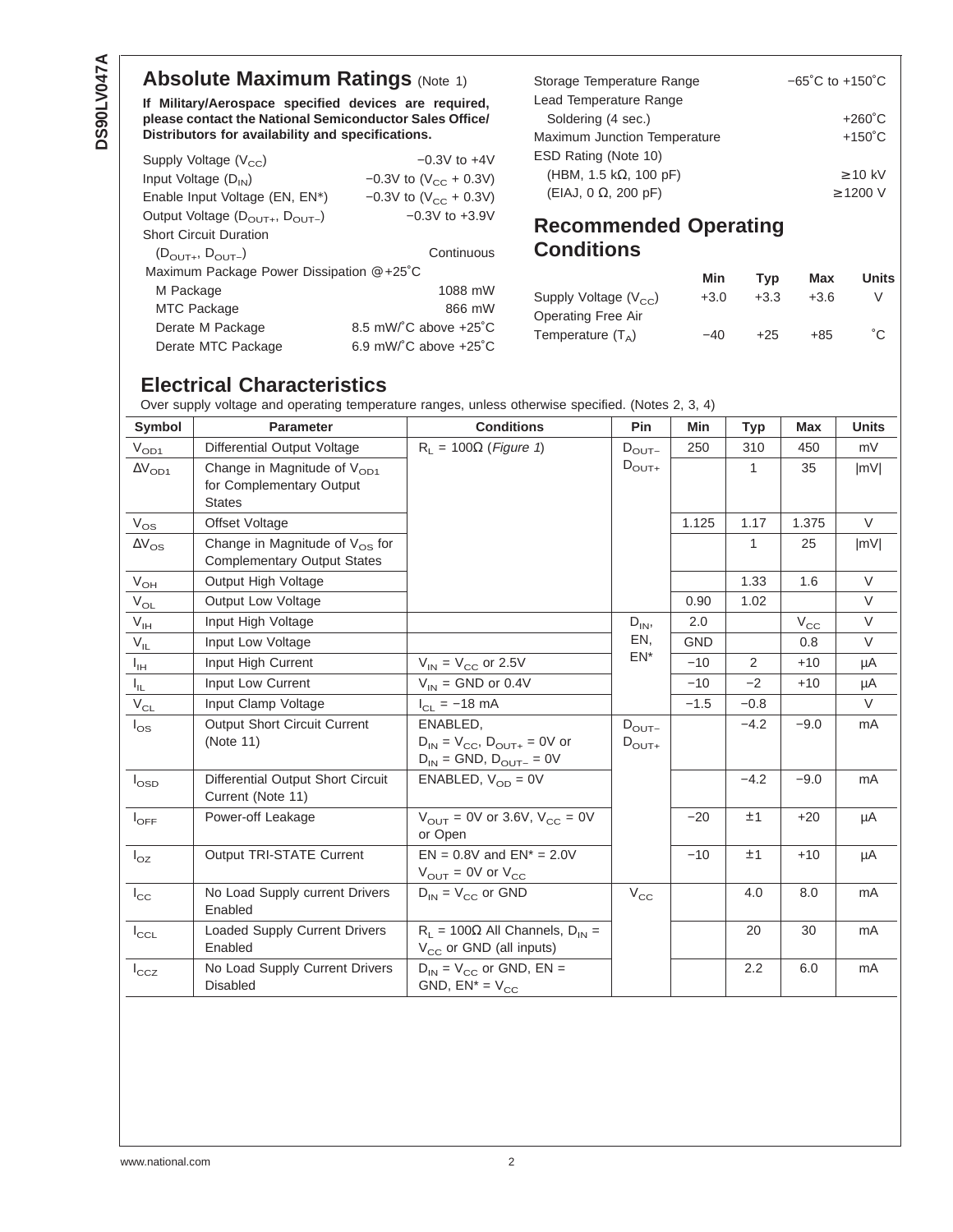## **Absolute Maximum Ratings (Note 1)**

**If Military/Aerospace specified devices are required, please contact the National Semiconductor Sales Office/ Distributors for availability and specifications.**

| Supply Voltage $(V_{cc})$                           | $-0.3V$ to $+4V$                            |
|-----------------------------------------------------|---------------------------------------------|
| Input Voltage (D <sub>IN</sub> )                    | $-0.3V$ to (V <sub>CC</sub> + 0.3V)         |
| Enable Input Voltage (EN, EN*)                      | $-0.3V$ to (V <sub>CC</sub> + 0.3V)         |
| Output Voltage $(D_{\text{OUT+}}, D_{\text{OUT-}})$ | $-0.3V$ to $+3.9V$                          |
| Short Circuit Duration                              |                                             |
| $(D_{OUT+}, D_{OUT-})$                              | Continuous                                  |
| Maximum Package Power Dissipation @ +25°C           |                                             |
| M Package                                           | 1088 mW                                     |
| MTC Package                                         | 866 mW                                      |
| Derate M Package                                    | 8.5 mW/ $^{\circ}$ C above $+25^{\circ}$ C  |
| Derate MTC Package                                  | 6.9 mW/ $^{\circ}$ C above +25 $^{\circ}$ C |
|                                                     |                                             |

| Storage Temperature Range           | $-65^{\circ}$ C to $+150^{\circ}$ C |
|-------------------------------------|-------------------------------------|
| Lead Temperature Range              |                                     |
| Soldering (4 sec.)                  | $+260^{\circ}$ C                    |
| <b>Maximum Junction Temperature</b> | $+150^{\circ}$ C                    |
| ESD Rating (Note 10)                |                                     |
| (HBM, 1.5 k $\Omega$ , 100 pF)      | $\geq$ 10 kV                        |
| $(EIAJ, 0 \Omega, 200 pF)$          | $\geq$ 1200 V                       |

## **Recommended Operating Conditions**

|                           | Min    | Tvp    | Max    | <b>Units</b> |
|---------------------------|--------|--------|--------|--------------|
| Supply Voltage $(V_{CC})$ | $+3.0$ | $+3.3$ | $+3.6$ |              |
| Operating Free Air        |        |        |        |              |
| Temperature $(T_A)$       | $-40$  | $+25$  | $+85$  | °C.          |

## **Electrical Characteristics**

Over supply voltage and operating temperature ranges, unless otherwise specified. (Notes 2, 3, 4)

| <b>Symbol</b>              | <b>Parameter</b>                                                              | <b>Conditions</b>                                                                                                                       | Pin                                    | Min        | <b>Typ</b>   | <b>Max</b>   | <b>Units</b> |
|----------------------------|-------------------------------------------------------------------------------|-----------------------------------------------------------------------------------------------------------------------------------------|----------------------------------------|------------|--------------|--------------|--------------|
| V <sub>OD1</sub>           | Differential Output Voltage                                                   | $R_L$ = 100 $\Omega$ (Figure 1)                                                                                                         | $D_{\text{OUT}-}$                      | 250        | 310          | 450          | mV           |
| $\Delta V_{OD1}$           | Change in Magnitude of $V_{OD1}$<br>for Complementary Output<br><b>States</b> |                                                                                                                                         | $D_{\text{OUT+}}$                      |            | 1            | 35           | MV           |
| $V_{OS}$                   | Offset Voltage                                                                |                                                                                                                                         |                                        | 1.125      | 1.17         | 1.375        | $\vee$       |
| $\Delta\rm{V}_{\rm{OS}}$   | Change in Magnitude of $V_{OS}$ for<br><b>Complementary Output States</b>     |                                                                                                                                         |                                        |            | $\mathbf{1}$ | 25           | MV           |
| $V_{OH}$                   | Output High Voltage                                                           |                                                                                                                                         |                                        |            | 1.33         | 1.6          | $\vee$       |
| $\rm V_{OL}$               | Output Low Voltage                                                            |                                                                                                                                         |                                        | 0.90       | 1.02         |              | $\vee$       |
| $\mathsf{V}_{\mathsf{IH}}$ | Input High Voltage                                                            |                                                                                                                                         | $D_{IN}$                               | 2.0        |              | $V_{\rm CC}$ | V            |
| $V_{IL}$                   | Input Low Voltage                                                             |                                                                                                                                         | EN.                                    | <b>GND</b> |              | 0.8          | $\vee$       |
| $I_{\text{IH}}$            | Input High Current                                                            | $V_{IN}$ = $V_{CC}$ or 2.5V                                                                                                             | EN*                                    | $-10$      | 2            | $+10$        | μA           |
| $I_{\rm IL}$               | Input Low Current                                                             | $V_{IN}$ = GND or 0.4V                                                                                                                  |                                        | $-10$      | $-2$         | $+10$        | μA           |
| $\rm V_{CL}$               | Input Clamp Voltage                                                           | $I_{CL} = -18$ mA                                                                                                                       |                                        | $-1.5$     | $-0.8$       |              | $\vee$       |
| $I_{OS}$                   | <b>Output Short Circuit Current</b><br>(Note 11)                              | ENABLED,<br>$D_{IN} = V_{CC}, D_{OUT+} = 0V$ or<br>$\mathsf{D}_{\mathsf{IN}} = \mathsf{GND},\ \mathsf{D}_{\mathsf{OUT-}} = \mathsf{OV}$ | $D_{\text{OUT}-}$<br>$D_{\text{OUT+}}$ |            | $-4.2$       | $-9.0$       | mA           |
| $I_{\text{OSD}}$           | Differential Output Short Circuit<br>Current (Note 11)                        | ENABLED, $V_{OD} = 0V$                                                                                                                  |                                        |            | $-4.2$       | $-9.0$       | mA           |
| $I_{OFF}$                  | Power-off Leakage                                                             | $V_{\text{OUT}} = 0V$ or 3.6V, $V_{\text{CC}} = 0V$<br>or Open                                                                          |                                        | $-20$      | ±1           | $+20$        | μA           |
| $I_{OZ}$                   | Output TRI-STATE Current                                                      | $EN = 0.8V$ and $EN^* = 2.0V$<br>$V_{\text{OUT}} = 0V$ or $V_{\text{CC}}$                                                               |                                        | $-10$      | ±1           | $+10$        | μA           |
| $I_{\rm CC}$               | No Load Supply current Drivers<br>Enabled                                     | $D_{IN}$ = $V_{CC}$ or GND                                                                                                              | $V_{\rm CC}$                           |            | 4.0          | 8.0          | mA           |
| $I_{CCL}$                  | <b>Loaded Supply Current Drivers</b><br>Enabled                               | $R_1 = 100\Omega$ All Channels, $D_{IN} =$<br>V <sub>CC</sub> or GND (all inputs)                                                       |                                        |            | 20           | 30           | mA           |
| $I_{CCZ}$                  | No Load Supply Current Drivers<br><b>Disabled</b>                             | $D_{IN}$ = $V_{CC}$ or GND, EN =<br>GND, $EN^* = V_{CC}$                                                                                |                                        |            | 2.2          | 6.0          | mA           |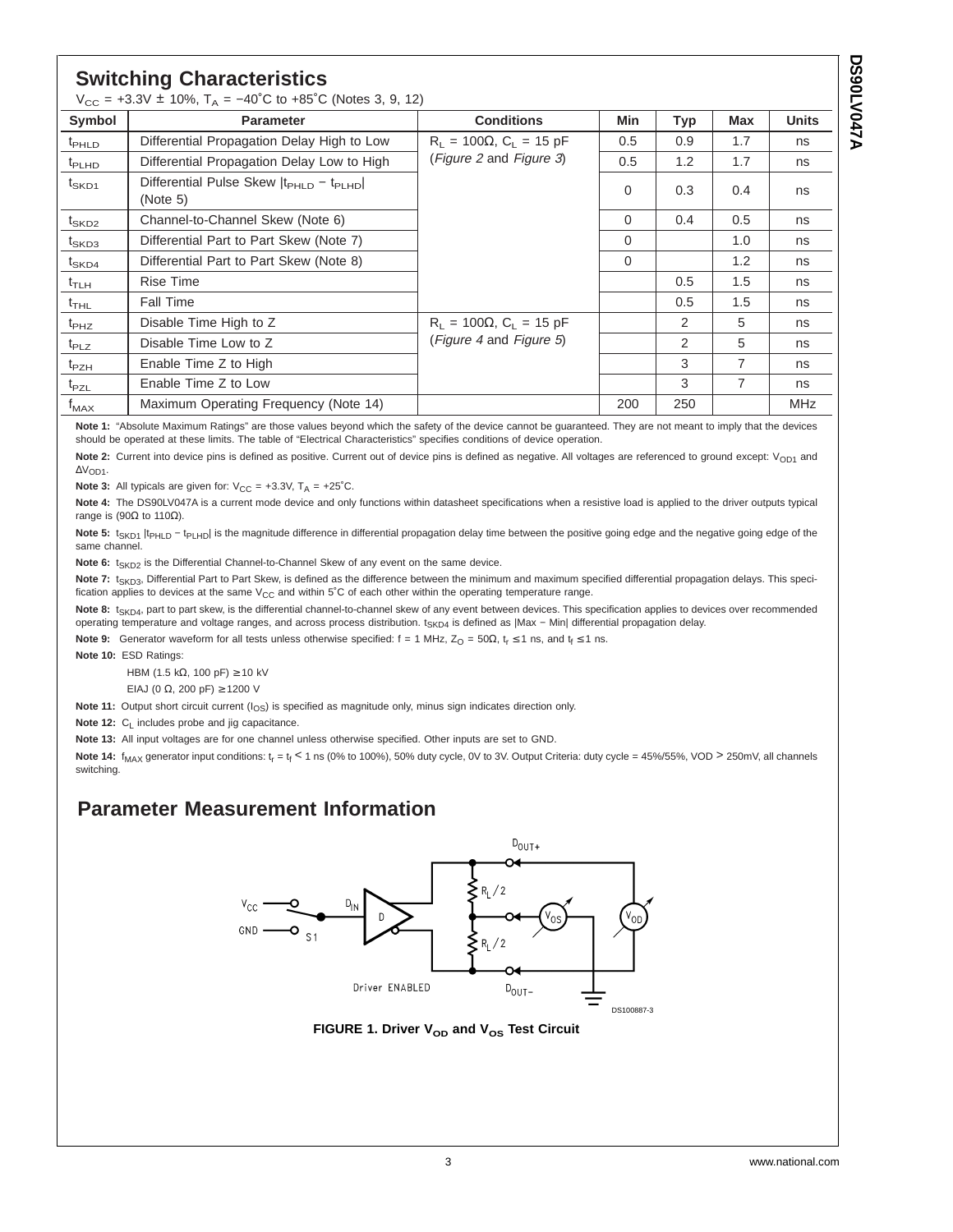**A740VJ0820 DS90LV047A**

## **Switching Characteristics**

| $V_{CC}$ = +3.3V ± 10%, $T_A$ = -40°C to +85°C (Notes 3, 9, 12) |                                                                              |                                   |             |               |                |              |
|-----------------------------------------------------------------|------------------------------------------------------------------------------|-----------------------------------|-------------|---------------|----------------|--------------|
| Symbol                                                          | <b>Parameter</b>                                                             | <b>Conditions</b>                 | Min         | <b>Typ</b>    | <b>Max</b>     | <b>Units</b> |
| <sup>t</sup> PHLD                                               | Differential Propagation Delay High to Low                                   | $R_1 = 100\Omega$ , $C_1 = 15$ pF | 0.5         | 0.9           | 1.7            | ns           |
| $t_{\sf PLHD}$                                                  | Differential Propagation Delay Low to High                                   | (Figure 2 and Figure 3)           | 0.5         | 1.2           | 1.7            | ns           |
| $t_{SKD1}$                                                      | Differential Pulse Skew  t <sub>PHLD</sub> - t <sub>PLHD</sub>  <br>(Note 5) |                                   |             | 0.3           | 0.4            | ns           |
| t <sub>SKD2</sub>                                               | Channel-to-Channel Skew (Note 6)                                             |                                   | $\Omega$    | 0.4           | 0.5            | ns           |
| $t_{\mathsf{SKD3}}$                                             | Differential Part to Part Skew (Note 7)                                      |                                   | $\Omega$    |               | 1.0            | ns           |
| $t_{\mathsf{SKD4}}$                                             | Differential Part to Part Skew (Note 8)                                      |                                   | $\mathbf 0$ |               | 1.2            | ns           |
| $t_{\sf T LH}$                                                  | Rise Time                                                                    |                                   |             | 0.5           | 1.5            | ns           |
| $t$ <sub>THL</sub>                                              | <b>Fall Time</b>                                                             |                                   |             | 0.5           | 1.5            | ns           |
| $t_{PHZ}$                                                       | Disable Time High to Z                                                       | $R_1 = 100\Omega$ , $C_1 = 15$ pF |             | 2             | 5              | ns           |
| $t_{PLZ}$                                                       | (Figure 4 and Figure 5)<br>Disable Time Low to Z                             |                                   |             | $\mathcal{P}$ | 5              | ns           |
| $t_{PZH}$                                                       | Enable Time Z to High                                                        |                                   |             | 3             | $\overline{7}$ | ns           |
| $t_{PZL}$                                                       | Enable Time Z to Low                                                         |                                   |             | 3             | $\overline{7}$ | ns           |
| $t_{MAX}$                                                       | Maximum Operating Frequency (Note 14)                                        |                                   | 200         | 250           |                | <b>MHz</b>   |

**Note 1:** "Absolute Maximum Ratings" are those values beyond which the safety of the device cannot be guaranteed. They are not meant to imply that the devices should be operated at these limits. The table of "Electrical Characteristics" specifies conditions of device operation.

Note 2: Current into device pins is defined as positive. Current out of device pins is defined as negative. All voltages are referenced to ground except: V<sub>OD1</sub> and ∆VOD1.

**Note 3:** All typicals are given for:  $V_{CC} = +3.3V$ ,  $T_A = +25°C$ .

**Note 4:** The DS90LV047A is a current mode device and only functions within datasheet specifications when a resistive load is applied to the driver outputs typical range is (90Ω to 110Ω).

Note 5: t<sub>SKD1</sub> |t<sub>PHLD</sub> - t<sub>PLHD</sub>| is the magnitude difference in differential propagation delay time between the positive going edge and the negative going edge of the same channel.

Note 6: t<sub>SKD2</sub> is the Differential Channel-to-Channel Skew of any event on the same device.

Note 7: t<sub>SKD3</sub>, Differential Part to Part Skew, is defined as the difference between the minimum and maximum specified differential propagation delays. This specification applies to devices at the same  $V_{CC}$  and within 5°C of each other within the operating temperature range.

Note 8: t<sub>SKD4</sub>, part to part skew, is the differential channel-to-channel skew of any event between devices. This specification applies to devices over recommended operating temperature and voltage ranges, and across process distribution. t<sub>SKD4</sub> is defined as |Max - Min| differential propagation delay.

**Note 9:** Generator waveform for all tests unless otherwise specified:  $f = 1$  MHz,  $Z_0 = 50\Omega$ ,  $t_r \le 1$  ns, and  $t_f \le 1$  ns.

**Note 10:** ESD Ratings:

HBM (1.5 kΩ, 100 pF)  $≥$  10 kV

EIAJ (0 Ω, 200 pF) ≥ 1200 V

**Note 11:** Output short circuit current ( $I_{OS}$ ) is specified as magnitude only, minus sign indicates direction only.

**Note 12:** C<sub>L</sub> includes probe and jig capacitance.

**Note 13:** All input voltages are for one channel unless otherwise specified. Other inputs are set to GND.

Note 14: f<sub>MAX</sub> generator input conditions: t<sub>r</sub> = t<sub>f</sub> < 1 ns (0% to 100%), 50% duty cycle, 0V to 3V. Output Criteria: duty cycle = 45%/55%, VOD > 250mV, all channels switching.

## **Parameter Measurement Information**



**FIGURE 1. Driver V<sub>OD</sub> and V<sub>OS</sub> Test Circuit**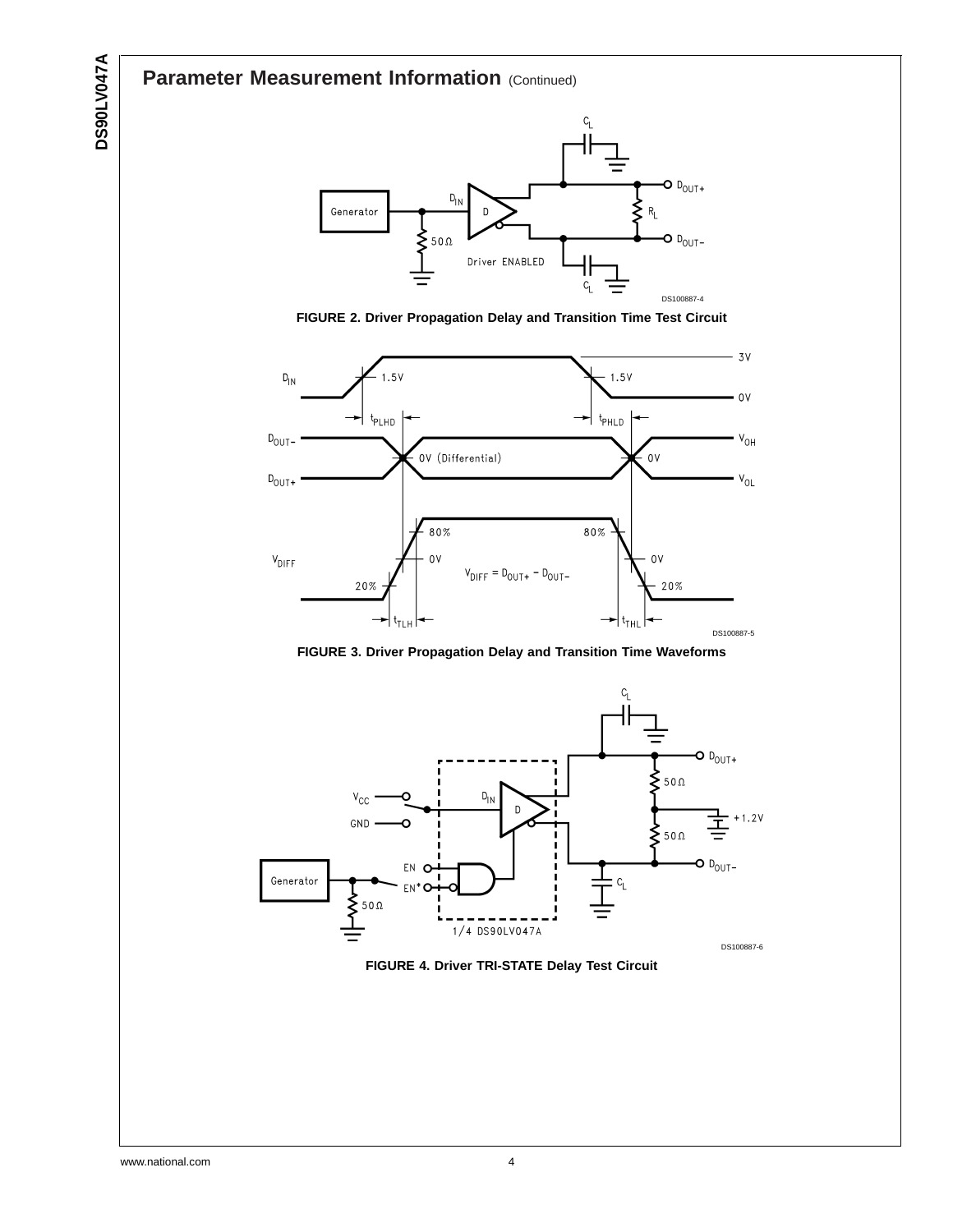## **Parameter Measurement Information (Continued)**



**FIGURE 2. Driver Propagation Delay and Transition Time Test Circuit**



**FIGURE 3. Driver Propagation Delay and Transition Time Waveforms**



**FIGURE 4. Driver TRI-STATE Delay Test Circuit**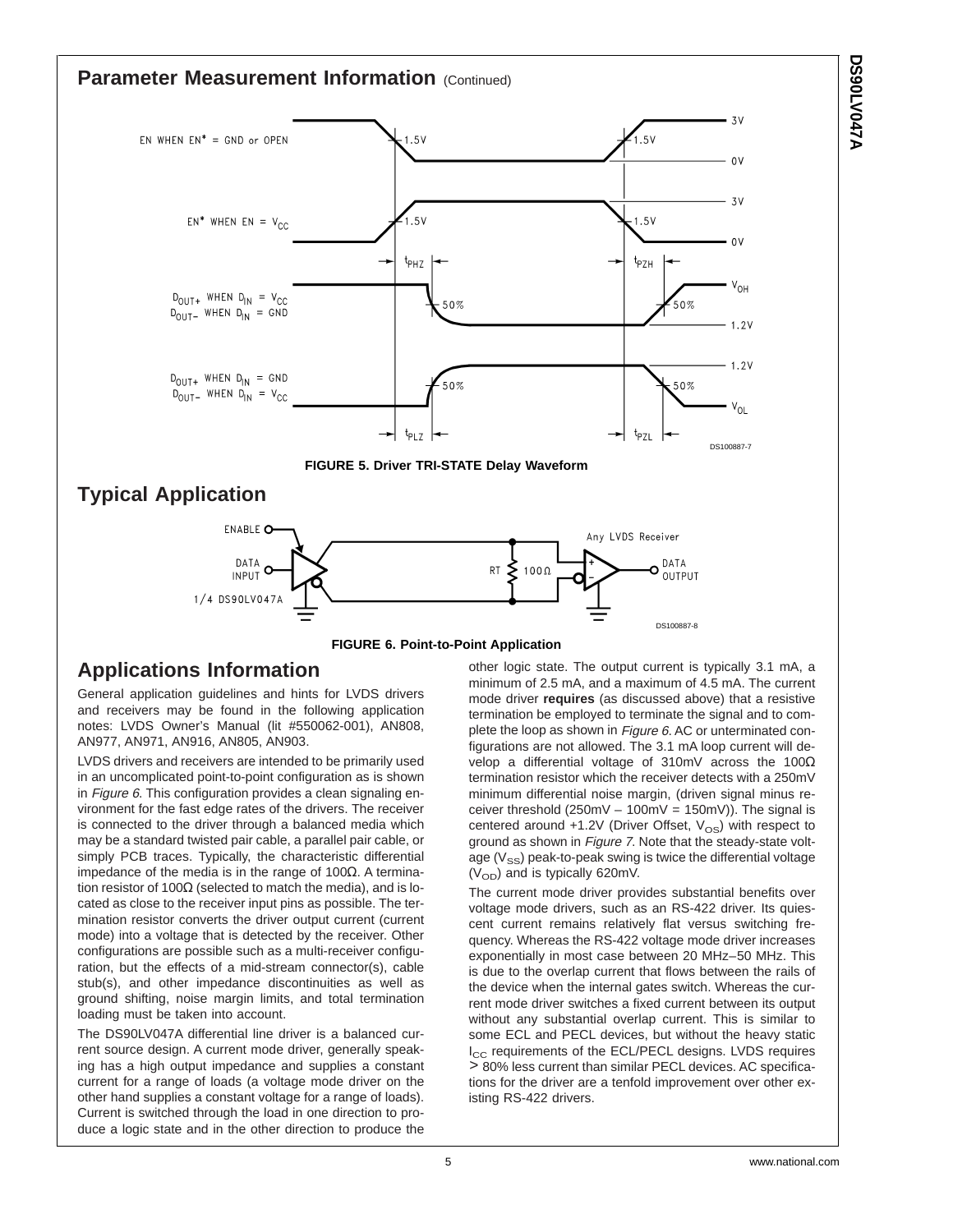#### **Parameter Measurement Information (Continued)**  $3V$ .<br>1.5V EN WHEN  $EN^* = GND$  or OPEN  $1.5V$  $\Omega$  $3V$  $EN^*$  WHEN  $EN = V_{CC}$ .<br>1.5 V  $1.5V$  $0V$  $t_{PHZ}$  $t_{\sf PZH}$  $V_{OH}$  $D_{\text{OUT+}}$  WHEN  $D_{\text{IN}} = V_{\text{CC}}$ 50% 50%  $D_{\text{OUT}}$  WHEN  $D_{\text{IN}}$  = GND  $1.2V$  $1.2V$  $D_{\text{OUT+}}$  WHEN  $D_{\text{IN}}$  = GND 50% 50%  $D_{OUT}$  WHEN  $D_{IN} = V_{CC}$  $V_{OL}$ t<sub>PLZ</sub> t<sub>PZL</sub> DS100887-7 **FIGURE 5. Driver TRI-STATE Delay Waveform Typical Application FNARLE O** Any LVDS Receiver DATA DATA **RT** ⋗  $1000$ n INPUT OUTPUT 1/4 DS90LV047A DS100887-8



## **Applications Information**

General application guidelines and hints for LVDS drivers and receivers may be found in the following application notes: LVDS Owner's Manual (lit #550062-001), AN808, AN977, AN971, AN916, AN805, AN903.

LVDS drivers and receivers are intended to be primarily used in an uncomplicated point-to-point configuration as is shown in Figure 6. This configuration provides a clean signaling environment for the fast edge rates of the drivers. The receiver is connected to the driver through a balanced media which may be a standard twisted pair cable, a parallel pair cable, or simply PCB traces. Typically, the characteristic differential impedance of the media is in the range of 100Ω. A termination resistor of 100 $Ω$  (selected to match the media), and is located as close to the receiver input pins as possible. The termination resistor converts the driver output current (current mode) into a voltage that is detected by the receiver. Other configurations are possible such as a multi-receiver configuration, but the effects of a mid-stream connector(s), cable stub(s), and other impedance discontinuities as well as ground shifting, noise margin limits, and total termination loading must be taken into account.

The DS90LV047A differential line driver is a balanced current source design. A current mode driver, generally speaking has a high output impedance and supplies a constant current for a range of loads (a voltage mode driver on the other hand supplies a constant voltage for a range of loads). Current is switched through the load in one direction to produce a logic state and in the other direction to produce the

other logic state. The output current is typically 3.1 mA, a minimum of 2.5 mA, and a maximum of 4.5 mA. The current mode driver **requires** (as discussed above) that a resistive termination be employed to terminate the signal and to complete the loop as shown in Figure 6. AC or unterminated configurations are not allowed. The 3.1 mA loop current will develop a differential voltage of 310mV across the 100Ω termination resistor which the receiver detects with a 250mV minimum differential noise margin, (driven signal minus receiver threshold  $(250 \text{mV} - 100 \text{mV} = 150 \text{mV})$ . The signal is centered around  $+1.2V$  (Driver Offset,  $V_{OS}$ ) with respect to ground as shown in Figure 7. Note that the steady-state voltage  $(V_{SS})$  peak-to-peak swing is twice the differential voltage  $(V<sub>OD</sub>)$  and is typically 620mV.

The current mode driver provides substantial benefits over voltage mode drivers, such as an RS-422 driver. Its quiescent current remains relatively flat versus switching frequency. Whereas the RS-422 voltage mode driver increases exponentially in most case between 20 MHz–50 MHz. This is due to the overlap current that flows between the rails of the device when the internal gates switch. Whereas the current mode driver switches a fixed current between its output without any substantial overlap current. This is similar to some ECL and PECL devices, but without the heavy static I<sub>CC</sub> requirements of the ECL/PECL designs. LVDS requires > 80% less current than similar PECL devices. AC specifications for the driver are a tenfold improvement over other existing RS-422 drivers.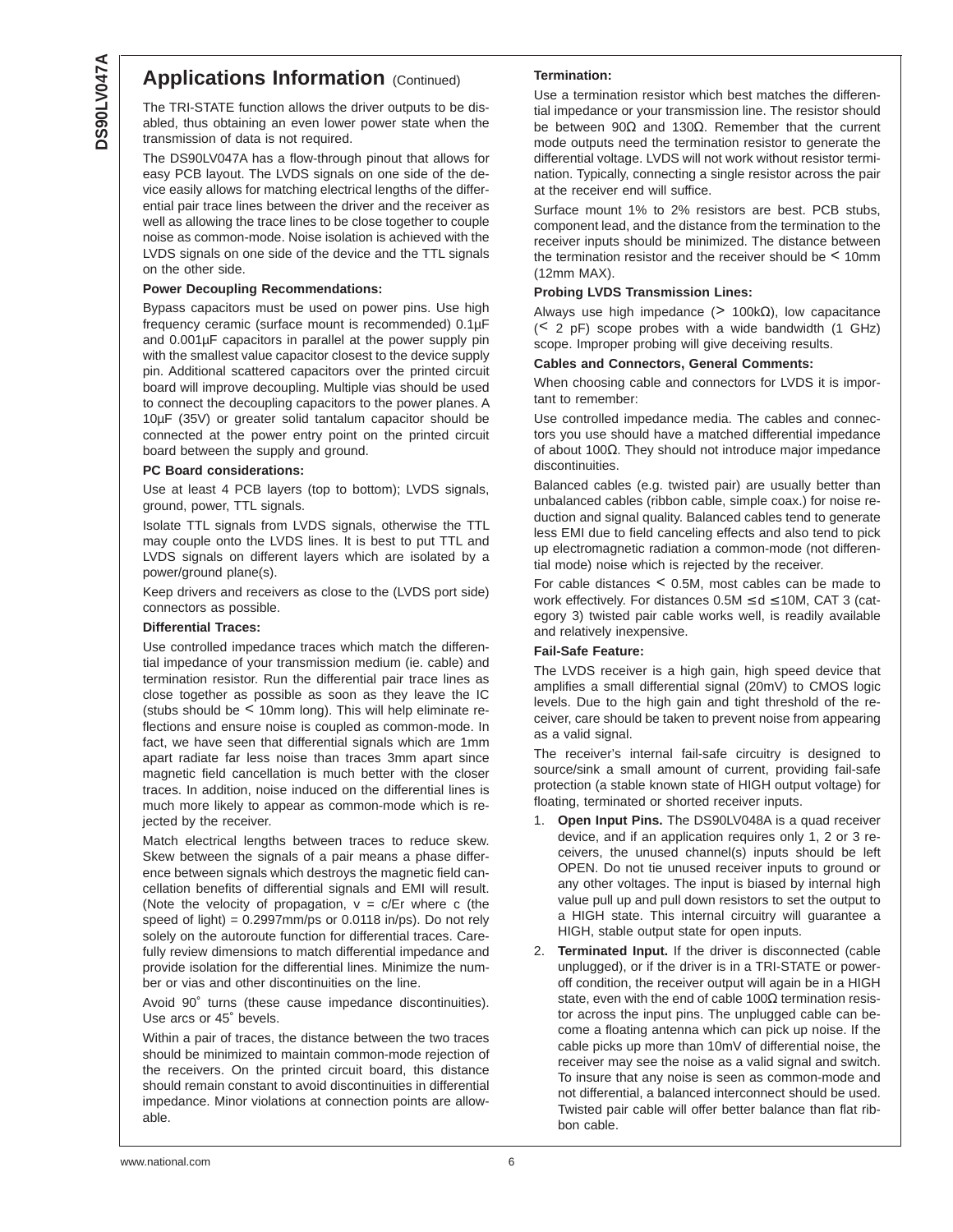## **Applications Information (Continued)**

The TRI-STATE function allows the driver outputs to be disabled, thus obtaining an even lower power state when the transmission of data is not required.

The DS90LV047A has a flow-through pinout that allows for easy PCB layout. The LVDS signals on one side of the device easily allows for matching electrical lengths of the differential pair trace lines between the driver and the receiver as well as allowing the trace lines to be close together to couple noise as common-mode. Noise isolation is achieved with the LVDS signals on one side of the device and the TTL signals on the other side.

#### **Power Decoupling Recommendations:**

Bypass capacitors must be used on power pins. Use high frequency ceramic (surface mount is recommended) 0.1µF and 0.001µF capacitors in parallel at the power supply pin with the smallest value capacitor closest to the device supply pin. Additional scattered capacitors over the printed circuit board will improve decoupling. Multiple vias should be used to connect the decoupling capacitors to the power planes. A 10µF (35V) or greater solid tantalum capacitor should be connected at the power entry point on the printed circuit board between the supply and ground.

#### **PC Board considerations:**

Use at least 4 PCB layers (top to bottom); LVDS signals, ground, power, TTL signals.

Isolate TTL signals from LVDS signals, otherwise the TTL may couple onto the LVDS lines. It is best to put TTL and LVDS signals on different layers which are isolated by a power/ground plane(s).

Keep drivers and receivers as close to the (LVDS port side) connectors as possible.

#### **Differential Traces:**

Use controlled impedance traces which match the differential impedance of your transmission medium (ie. cable) and termination resistor. Run the differential pair trace lines as close together as possible as soon as they leave the IC (stubs should be < 10mm long). This will help eliminate reflections and ensure noise is coupled as common-mode. In fact, we have seen that differential signals which are 1mm apart radiate far less noise than traces 3mm apart since magnetic field cancellation is much better with the closer traces. In addition, noise induced on the differential lines is much more likely to appear as common-mode which is rejected by the receiver.

Match electrical lengths between traces to reduce skew. Skew between the signals of a pair means a phase difference between signals which destroys the magnetic field cancellation benefits of differential signals and EMI will result. (Note the velocity of propagation,  $v = c/Er$  where c (the speed of light) =  $0.2997$ mm/ps or  $0.0118$  in/ps). Do not rely solely on the autoroute function for differential traces. Carefully review dimensions to match differential impedance and provide isolation for the differential lines. Minimize the number or vias and other discontinuities on the line.

Avoid 90˚ turns (these cause impedance discontinuities). Use arcs or 45˚ bevels.

Within a pair of traces, the distance between the two traces should be minimized to maintain common-mode rejection of the receivers. On the printed circuit board, this distance should remain constant to avoid discontinuities in differential impedance. Minor violations at connection points are allowable.

#### **Termination:**

Use a termination resistor which best matches the differential impedance or your transmission line. The resistor should be between 90Ω and 130Ω. Remember that the current mode outputs need the termination resistor to generate the differential voltage. LVDS will not work without resistor termination. Typically, connecting a single resistor across the pair at the receiver end will suffice.

Surface mount 1% to 2% resistors are best. PCB stubs, component lead, and the distance from the termination to the receiver inputs should be minimized. The distance between the termination resistor and the receiver should be < 10mm (12mm MAX).

#### **Probing LVDS Transmission Lines:**

Always use high impedance ( $> 100k\Omega$ ), low capacitance (< 2 pF) scope probes with a wide bandwidth (1 GHz) scope. Improper probing will give deceiving results.

#### **Cables and Connectors, General Comments:**

When choosing cable and connectors for LVDS it is important to remember:

Use controlled impedance media. The cables and connectors you use should have a matched differential impedance of about 100Ω. They should not introduce major impedance discontinuities.

Balanced cables (e.g. twisted pair) are usually better than unbalanced cables (ribbon cable, simple coax.) for noise reduction and signal quality. Balanced cables tend to generate less EMI due to field canceling effects and also tend to pick up electromagnetic radiation a common-mode (not differential mode) noise which is rejected by the receiver.

For cable distances < 0.5M, most cables can be made to work effectively. For distances  $0.5M \le d \le 10M$ , CAT 3 (category 3) twisted pair cable works well, is readily available and relatively inexpensive.

#### **Fail-Safe Feature:**

The LVDS receiver is a high gain, high speed device that amplifies a small differential signal (20mV) to CMOS logic levels. Due to the high gain and tight threshold of the receiver, care should be taken to prevent noise from appearing as a valid signal.

The receiver's internal fail-safe circuitry is designed to source/sink a small amount of current, providing fail-safe protection (a stable known state of HIGH output voltage) for floating, terminated or shorted receiver inputs.

- **Open Input Pins.** The DS90LV048A is a quad receiver device, and if an application requires only 1, 2 or 3 receivers, the unused channel(s) inputs should be left OPEN. Do not tie unused receiver inputs to ground or any other voltages. The input is biased by internal high value pull up and pull down resistors to set the output to a HIGH state. This internal circuitry will guarantee a HIGH, stable output state for open inputs.
- 2. **Terminated Input.** If the driver is disconnected (cable unplugged), or if the driver is in a TRI-STATE or poweroff condition, the receiver output will again be in a HIGH state, even with the end of cable 100 $\Omega$  termination resistor across the input pins. The unplugged cable can become a floating antenna which can pick up noise. If the cable picks up more than 10mV of differential noise, the receiver may see the noise as a valid signal and switch. To insure that any noise is seen as common-mode and not differential, a balanced interconnect should be used. Twisted pair cable will offer better balance than flat ribbon cable.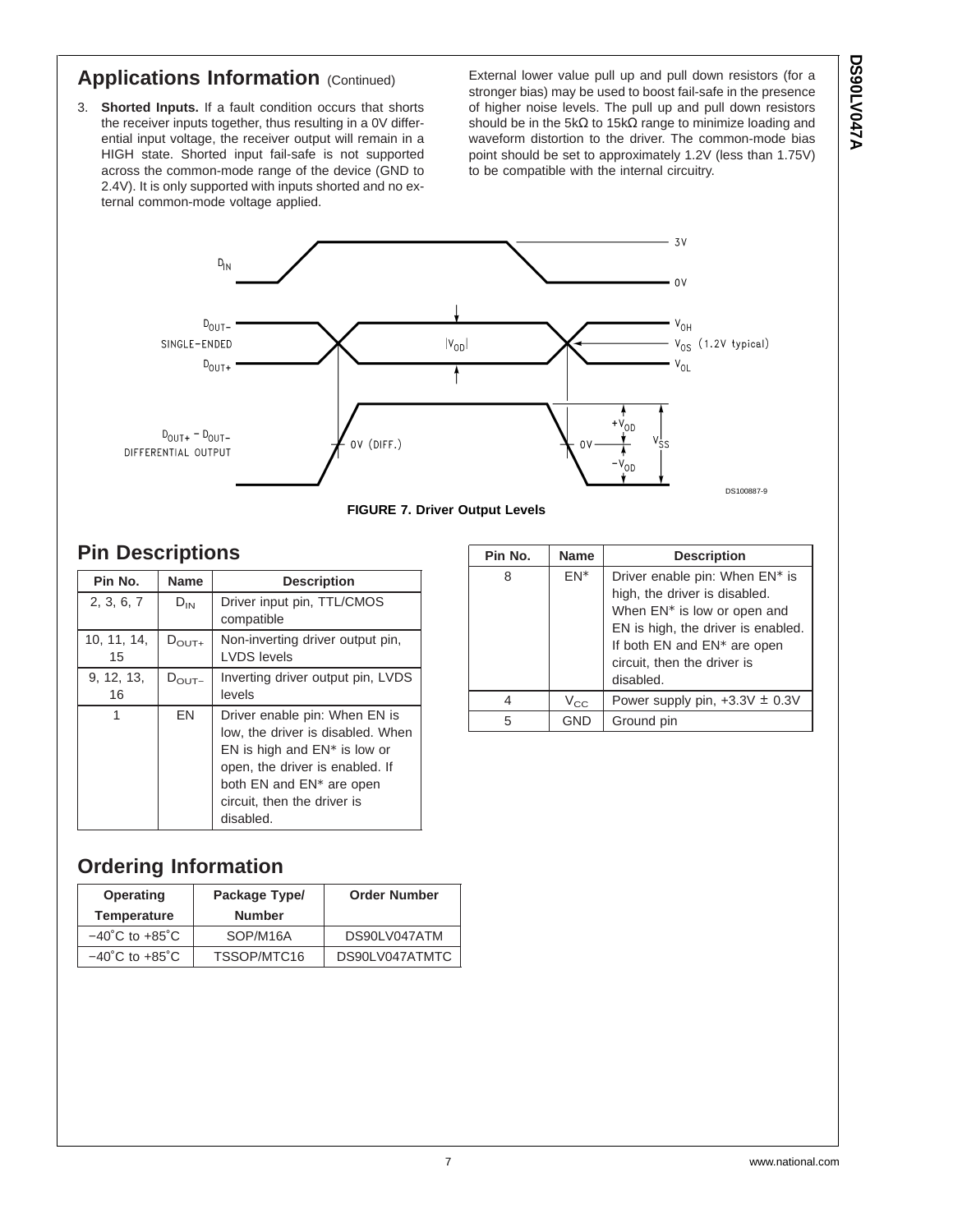## **Applications Information (Continued)**

3. **Shorted Inputs.** If a fault condition occurs that shorts the receiver inputs together, thus resulting in a 0V differential input voltage, the receiver output will remain in a HIGH state. Shorted input fail-safe is not supported across the common-mode range of the device (GND to 2.4V). It is only supported with inputs shorted and no external common-mode voltage applied.

External lower value pull up and pull down resistors (for a stronger bias) may be used to boost fail-safe in the presence of higher noise levels. The pull up and pull down resistors should be in the 5k $\Omega$  to 15k $\Omega$  range to minimize loading and waveform distortion to the driver. The common-mode bias point should be set to approximately 1.2V (less than 1.75V) to be compatible with the internal circuitry.



**FIGURE 7. Driver Output Levels**

## **Pin Descriptions**

| Pin No.           | <b>Name</b>       | <b>Description</b>                                                                                                                                                                                                           |
|-------------------|-------------------|------------------------------------------------------------------------------------------------------------------------------------------------------------------------------------------------------------------------------|
| 2, 3, 6, 7        | $D_{IN}$          | Driver input pin, TTL/CMOS<br>compatible                                                                                                                                                                                     |
| 10, 11, 14,<br>15 | $D_{\text{OUT+}}$ | Non-inverting driver output pin,<br><b>LVDS</b> levels                                                                                                                                                                       |
| 9, 12, 13,<br>16  | $D_{\text{OUT}-}$ | Inverting driver output pin, LVDS<br>levels                                                                                                                                                                                  |
| 1                 | EN                | Driver enable pin: When EN is<br>low, the driver is disabled. When<br>EN is high and $EN^*$ is low or<br>open, the driver is enabled. If<br>both EN and EN <sup>*</sup> are open<br>circuit, then the driver is<br>disabled. |

| Pin No. | <b>Name</b> | <b>Description</b>                                                                                                                                                                                                                      |
|---------|-------------|-----------------------------------------------------------------------------------------------------------------------------------------------------------------------------------------------------------------------------------------|
| 8       | FN*         | Driver enable pin: When EN <sup>*</sup> is<br>high, the driver is disabled.<br>When EN <sup>*</sup> is low or open and<br>EN is high, the driver is enabled.<br>If both EN and EN* are open<br>circuit, then the driver is<br>disabled. |
|         | $V_{CC}$    | Power supply pin, $+3.3V \pm 0.3V$                                                                                                                                                                                                      |
| 5       | GND         | Ground pin                                                                                                                                                                                                                              |

## **Ordering Information**

| Operating                          | Package Type/ | <b>Order Number</b> |  |  |
|------------------------------------|---------------|---------------------|--|--|
| <b>Temperature</b>                 | <b>Number</b> |                     |  |  |
| $-40^{\circ}$ C to $+85^{\circ}$ C | SOP/M16A      | DS90LV047ATM        |  |  |
| $-40^{\circ}$ C to $+85^{\circ}$ C | TSSOP/MTC16   | DS90LV047ATMTC      |  |  |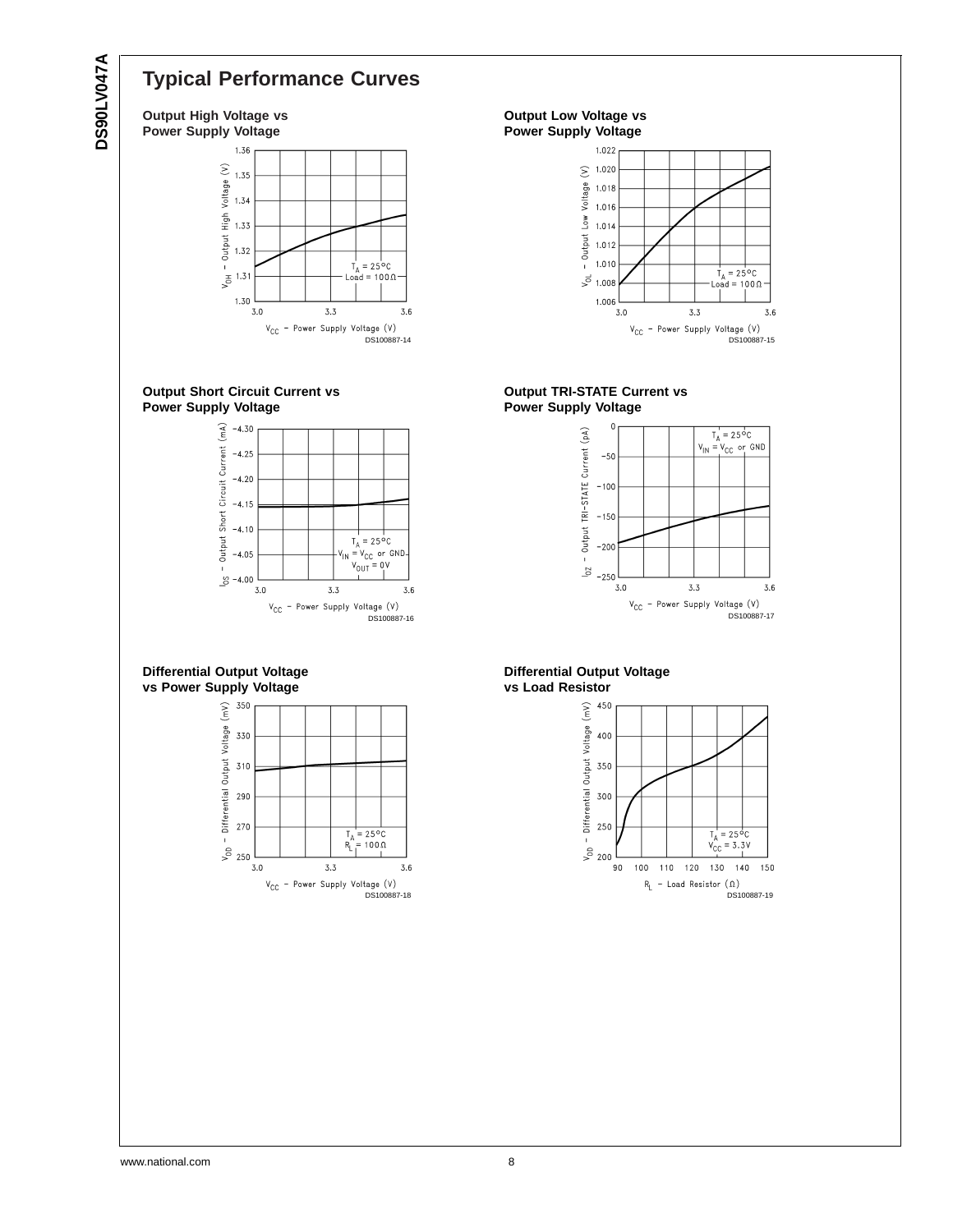# **Typical Performance Curves**

**Output High Voltage vs Power Supply Voltage**







**Differential Output Voltage vs Power Supply Voltage**



**Output Low Voltage vs Power Supply Voltage**



**Output TRI-STATE Current vs Power Supply Voltage**



#### **Differential Output Voltage vs Load Resistor**

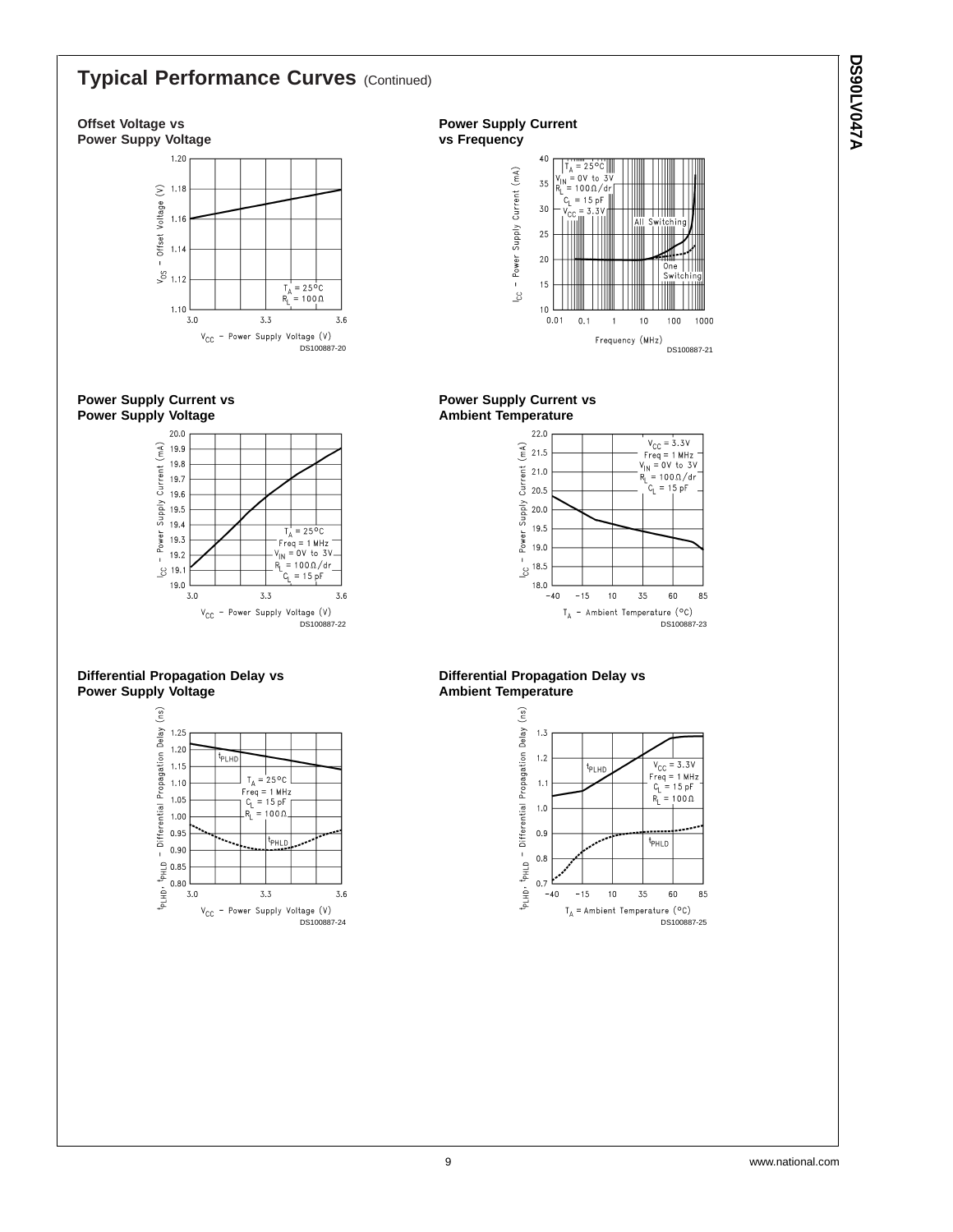## **Typical Performance Curves** (Continued)

#### **Offset Voltage vs Power Suppy Voltage**



**Power Supply Current vs Power Supply Voltage**



#### **Differential Propagation Delay vs Power Supply Voltage**



#### **Power Supply Current vs Frequency**



#### **Power Supply Current vs Ambient Temperature**



#### **Differential Propagation Delay vs Ambient Temperature**



**A740VJ0620 DS90LV047A**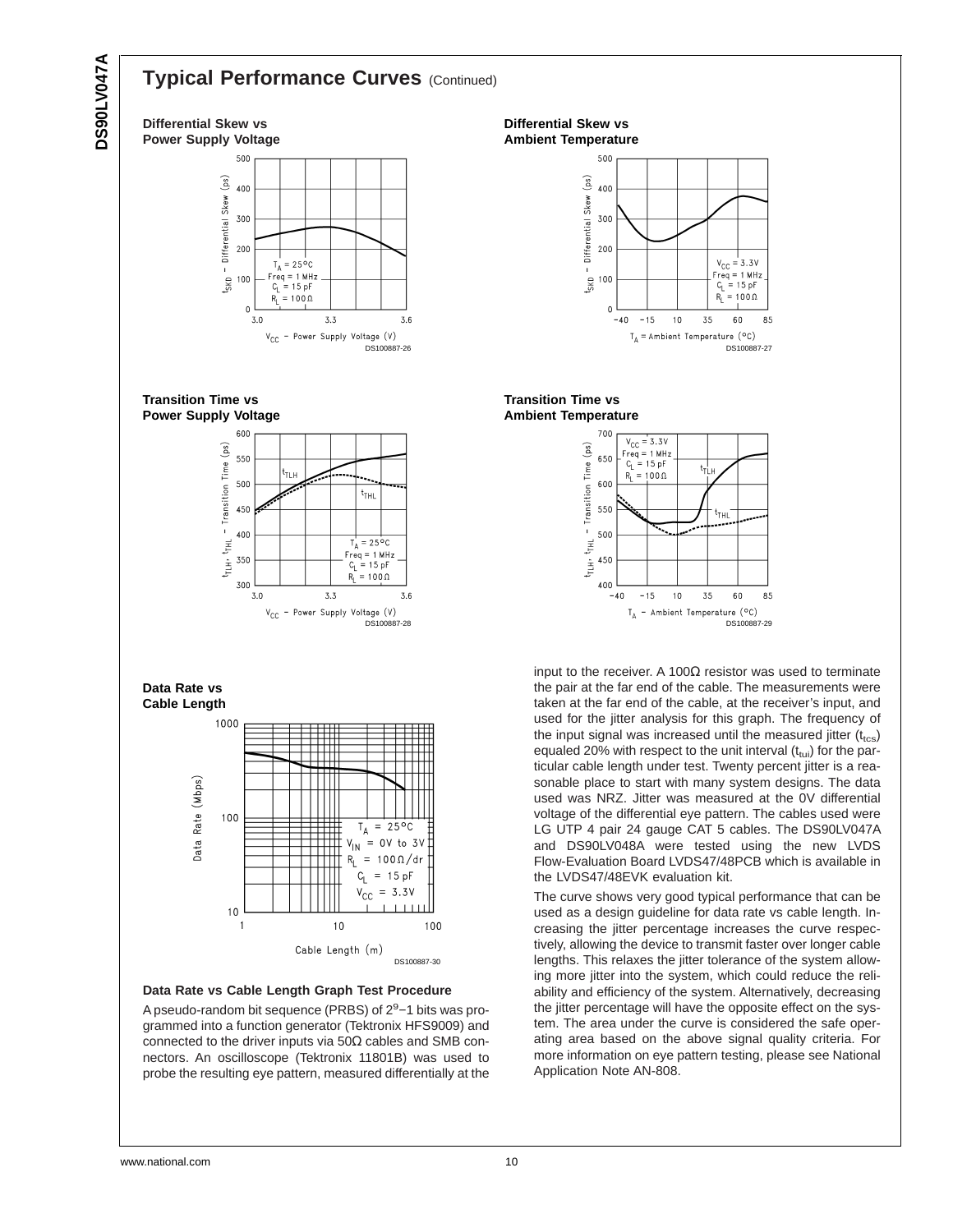# **A740VJ08SC DS90LV047A**

**Differential Skew vs**

## **Typical Performance Curves** (Continued)

**Power Supply Voltage** 500 (ps) 400 Differential Skew 300  $200$  $T_A = 25^{\circ}C$  $\mathbf{I}$  $\frac{1}{5}$ kD  $\begin{aligned} \n\text{Freq} &= 1 \text{ MHz} \\ \n\text{C}_1 &= 15 \text{ pF} \n\end{aligned}$ 100  $R_1 = 100 \Omega$  $\mathbf 0$  $3.0$  $3.3$  $3.6$  $\mathsf{v}_{\mathsf{CC}}$ - Power Supply Voltage (V) DS100887-26 **Transition Time vs Power Supply Voltage** 600 eg) 550 - Transition Time і<br>11 н 500  $t_{\text{THL}}$ 450 400  $T_A = 25^{\circ}C$  $t_{\rm FHL}$  $r_{eq} = 1$  MHz  $\frac{1}{2}$ 350  $= 15 \text{ nF}$  $c_{L}$  $= 100 \Omega$  $R_1$ 300  $3.0$  $3.3$  $3.6$ V<sub>CC</sub> - Power Supply Voltage (V) DS100887-28 **Data Rate vs Cable Length** 1000 Data Rate (Mbps) 100  $T_A = 25^{\circ}C$  $\mathsf{V}_{\mathsf{IN}}$ OV to 3V  $\equiv$  $R_{L}$  $= 100 \Omega/dr$  $c_{\rm L}$  $= 15 pF$  $= 3.3V$  $\rm v_{cc}$  $10$  $\mathbf{1}$  $10$ 100 Cable Length (m) DS100887-30

**Data Rate vs Cable Length Graph Test Procedure**

A pseudo-random bit sequence (PRBS) of 2<sup>9</sup>-1 bits was programmed into a function generator (Tektronix HFS9009) and connected to the driver inputs via  $50\Omega$  cables and SMB connectors. An oscilloscope (Tektronix 11801B) was used to probe the resulting eye pattern, measured differentially at the

**Differential Skew vs Ambient Temperature**







input to the receiver. A 100 $\Omega$  resistor was used to terminate the pair at the far end of the cable. The measurements were taken at the far end of the cable, at the receiver's input, and used for the jitter analysis for this graph. The frequency of the input signal was increased until the measured jitter  $(t_{\text{tcs}})$ equaled 20% with respect to the unit interval  $(t<sub>tui</sub>)$  for the particular cable length under test. Twenty percent jitter is a reasonable place to start with many system designs. The data used was NRZ. Jitter was measured at the 0V differential voltage of the differential eye pattern. The cables used were LG UTP 4 pair 24 gauge CAT 5 cables. The DS90LV047A and DS90LV048A were tested using the new LVDS Flow-Evaluation Board LVDS47/48PCB which is available in the LVDS47/48EVK evaluation kit.

The curve shows very good typical performance that can be used as a design guideline for data rate vs cable length. Increasing the jitter percentage increases the curve respectively, allowing the device to transmit faster over longer cable lengths. This relaxes the jitter tolerance of the system allowing more jitter into the system, which could reduce the reliability and efficiency of the system. Alternatively, decreasing the jitter percentage will have the opposite effect on the system. The area under the curve is considered the safe operating area based on the above signal quality criteria. For more information on eye pattern testing, please see National Application Note AN-808.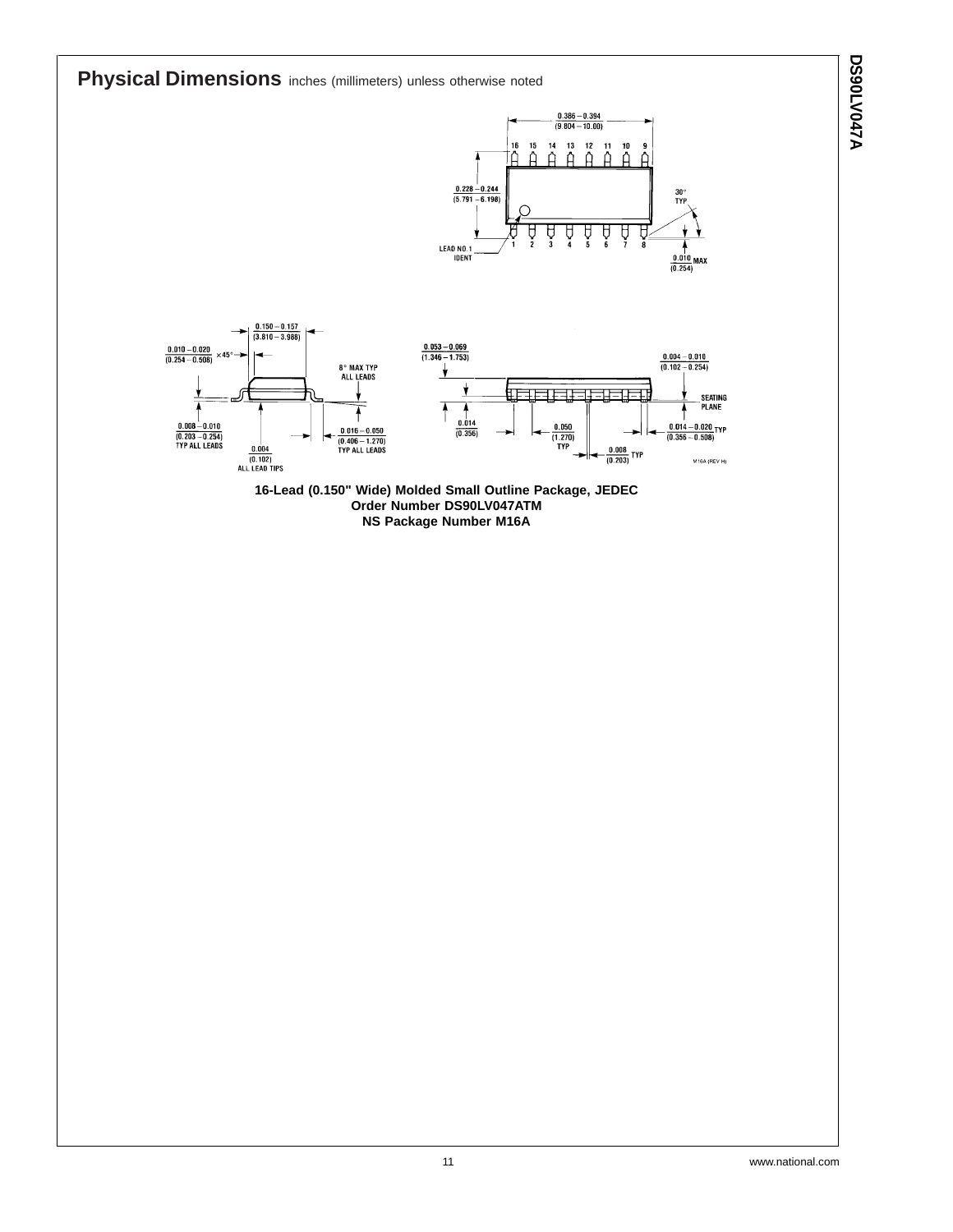**Physical Dimensions** inches (millimeters) unless otherwise noted  $\frac{0.386 - 0.394}{(9.804 - 10.00)}$  $14$  $13$  $12$  $15$  $11$  $\overline{10}$ Ã ة  $\hat{\mathsf{H}}$ Δ ሰ  $\frac{0.228 - 0.244}{(5.791 - 6.198)}$  $30<sub>0</sub>$ Å Ų Ĥ À Ĥ Å ţ LEAD NO.1<br>IDENT  $\frac{0.010}{(0.254)}$  MAX  $\frac{0.150 - 0.157}{(3.810 - 3.988)}$  $\frac{0.053 - 0.069}{(1.346 - 1.753)}$  $\frac{0.010 - 0.020}{(0.254 - 0.508)}$  $\frac{0.004 - 0.010}{(0.102 - 0.254)}$  $\times 45$ 8° MAX TYP<br>ALL LEADS Ÿ Ħт ヨヒヨキ SEATING<br>PLANE  $\overline{\textbf{1}}$ 7 1  $\frac{0.014}{(0.356)}$  $\begin{array}{c} 0.008\,{-}\,0.010 \\ \hline (0.203\,{-}\,0.254) \\ \hline \mathrm{TP}\,\text{ALL} \,\text{LEADS} \end{array}$  $-\frac{0.050}{(1.270)}$ <br>TYP  $-\frac{0.014-0.020}{(0.356-0.508)}$ TYP  $\frac{0.016 - 0.050}{(0.406 - 1.270)}$ <br>TYP ALL LEADS  $\begin{array}{c}\n 0.004 \\
\hline\n (0.102)\n \end{array}$  ALL LEAD TIPS  $-\frac{0.008}{(0.203)}$  TYP  $M16A$  (REV H) **16-Lead (0.150" Wide) Molded Small Outline Package, JEDEC Order Number DS90LV047ATM NS Package Number M16A**